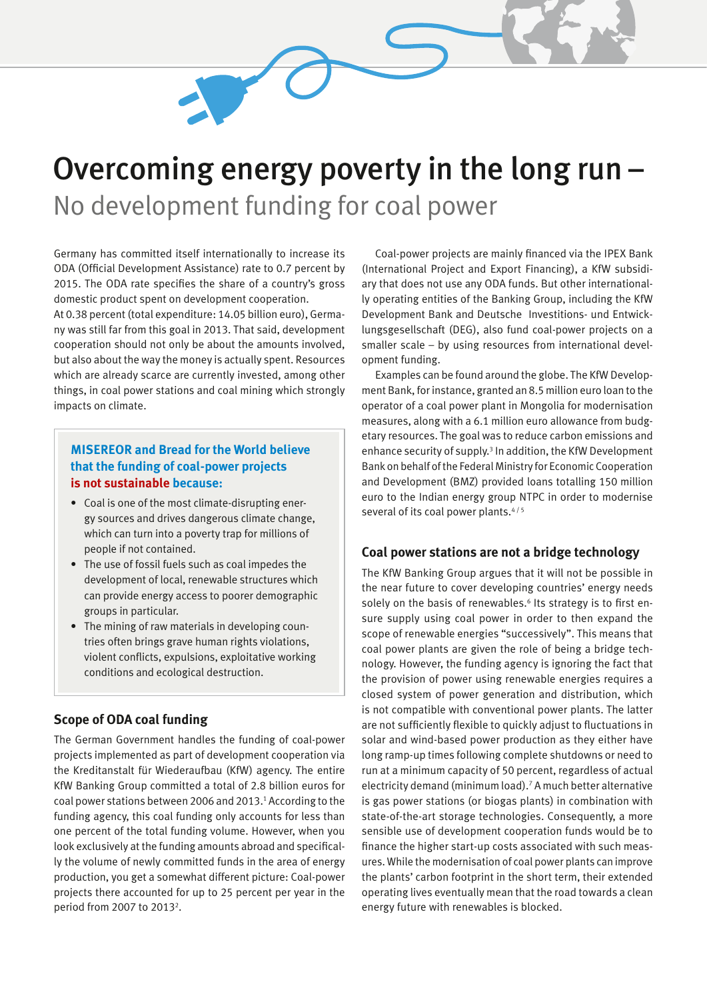# Overcoming energy poverty in the long run – No development funding for coal power

Germany has committed itself internationally to increase its ODA (Official Development Assistance) rate to 0.7 percent by 2015. The ODA rate specifies the share of a country's gross domestic product spent on development cooperation.

At 0.38 percent (total expenditure: 14.05 billion euro), Germany was still far from this goal in 2013. That said, development cooperation should not only be about the amounts involved, but also about the way the money is actually spent. Resources which are already scarce are currently invested, among other things, in coal power stations and coal mining which strongly impacts on climate.

## **MISEREOR and Bread for the World believe that the funding of coal-power projects is not sustainable because:**

- Coal is one of the most climate-disrupting energy sources and drives dangerous climate change, which can turn into a poverty trap for millions of people if not contained.
- The use of fossil fuels such as coal impedes the development of local, renewable structures which can provide energy access to poorer demographic groups in particular.
- The mining of raw materials in developing countries often brings grave human rights violations, violent conflicts, expulsions, exploitative working conditions and ecological destruction.

### **Scope of ODA coal funding**

The German Government handles the funding of coal-power projects implemented as part of development cooperation via the Kreditanstalt für Wiederaufbau (KfW) agency. The entire KfW Banking Group committed a total of 2.8 billion euros for coal power stations between 2006 and 2013. 1 According to the funding agency, this coal funding only accounts for less than one percent of the total funding volume. However, when you look exclusively at the funding amounts abroad and specifically the volume of newly committed funds in the area of energy production, you get a somewhat different picture: Coal-power projects there accounted for up to 25 percent per year in the period from 2007 to 2013<sup>2</sup>.

Coal-power projects are mainly financed via the IPEX Bank (International Project and Export Financing), a KfW subsidiary that does not use any ODA funds. But other internationally operating entities of the Banking Group, including the KfW Development Bank and Deutsche Investitions- und Entwicklungsgesellschaft (DEG), also fund coal-power projects on a smaller scale – by using resources from international development funding.

Examples can be found around the globe. The KfW Development Bank, for instance, granted an 8.5 million euro loan to the operator of a coal power plant in Mongolia for modernisation measures, along with a 6.1 million euro allowance from budgetary resources. The goal was to reduce carbon emissions and enhance security of supply.<sup>3</sup> In addition, the KfW Development Bank on behalf of the Federal Ministry for Economic Cooperation and Development (BMZ) provided loans totalling 150 million euro to the Indian energy group NTPC in order to modernise several of its coal power plants.<sup>4/5</sup>

### **Coal power stations are not a bridge technology**

The KfW Banking Group argues that it will not be possible in the near future to cover developing countries' energy needs solely on the basis of renewables.<sup>6</sup> Its strategy is to first ensure supply using coal power in order to then expand the scope of renewable energies "successively". This means that coal power plants are given the role of being a bridge technology. However, the funding agency is ignoring the fact that the provision of power using renewable energies requires a closed system of power generation and distribution, which is not compatible with conventional power plants. The latter are not sufficiently flexible to quickly adjust to fluctuations in solar and wind-based power production as they either have long ramp-up times following complete shutdowns or need to run at a minimum capacity of 50 percent, regardless of actual electricity demand (minimum load).<sup>7</sup> A much better alternative is gas power stations (or biogas plants) in combination with state-of-the-art storage technologies. Consequently, a more sensible use of development cooperation funds would be to finance the higher start-up costs associated with such measures. While the modernisation of coal power plants can improve the plants' carbon footprint in the short term, their extended operating lives eventually mean that the road towards a clean energy future with renewables is blocked.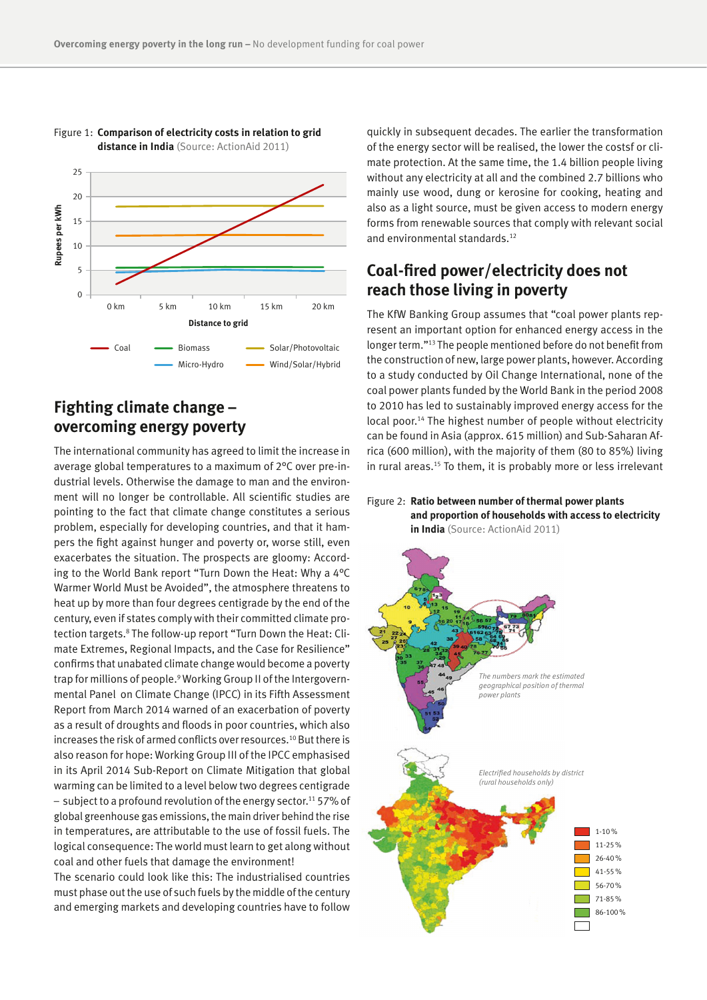

#### Figure 1: **Comparison of electricity costs in relation to grid distance in India** (Source: ActionAid 2011)

**Fighting climate change – overcoming energy poverty**

The international community has agreed to limit the increase in average global temperatures to a maximum of 2°C over pre-industrial levels. Otherwise the damage to man and the environment will no longer be controllable. All scientific studies are pointing to the fact that climate change constitutes a serious problem, especially for developing countries, and that it hampers the fight against hunger and poverty or, worse still, even exacerbates the situation. The prospects are gloomy: According to the World Bank report "Turn Down the Heat: Why a 4°C Warmer World Must be Avoided", the atmosphere threatens to heat up by more than four degrees centigrade by the end of the century, even if states comply with their committed climate protection targets.<sup>8</sup> The follow-up report "Turn Down the Heat: Climate Extremes, Regional Impacts, and the Case for Resilience" confirms that unabated climate change would become a poverty trap for millions of people.<sup>9</sup> Working Group II of the Intergovernmental Panel on Climate Change (IPCC) in its Fifth Assessment Report from March 2014 warned of an exacerbation of poverty as a result of droughts and floods in poor countries, which also increases the risk of armed conflicts over resources.10 But there is also reason for hope: Working Group III of the IPCC emphasised in its April 2014 Sub-Report on Climate Mitigation that global warming can be limited to a level below two degrees centigrade  $-$  subject to a profound revolution of the energy sector.<sup>11</sup> 57% of global greenhouse gas emissions, the main driver behind the rise in temperatures, are attributable to the use of fossil fuels. The logical consequence: The world must learn to get along without coal and other fuels that damage the environment!

The scenario could look like this: The industrialised countries must phase out the use of such fuels by the middle of the century and emerging markets and developing countries have to follow

quickly in subsequent decades. The earlier the transformation of the energy sector will be realised, the lower the costsf or climate protection. At the same time, the 1.4 billion people living without any electricity at all and the combined 2.7 billions who mainly use wood, dung or kerosine for cooking, heating and also as a light source, must be given access to modern energy forms from renewable sources that comply with relevant social and environmental standards.<sup>12</sup>

## **Coal-fired power/electricity does not reach those living in poverty**

The KfW Banking Group assumes that "coal power plants represent an important option for enhanced energy access in the longer term."13 The people mentioned before do not benefit from the construction of new, large power plants, however. According to a study conducted by Oil Change International, none of the coal power plants funded by the World Bank in the period 2008 to 2010 has led to sustainably improved energy access for the local poor.<sup>14</sup> The highest number of people without electricity can be found in Asia (approx. 615 million) and Sub-Saharan Africa (600 million), with the majority of them (80 to 85%) living in rural areas.<sup>15</sup> To them, it is probably more or less irrelevant

Figure 2: **Ratio between number of thermal power plants and proportion of households with access to electricity in India** (Source: ActionAid 2011)

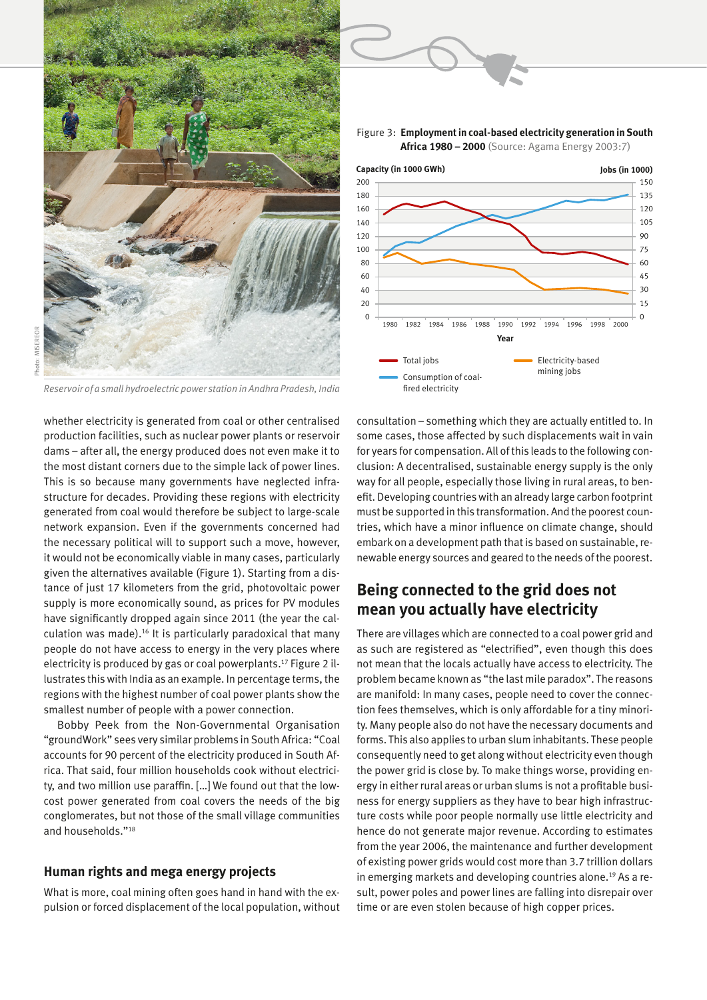

*Reservoir of a small hydroelectric power station in Andhra Pradesh, India*

whether electricity is generated from coal or other centralised production facilities, such as nuclear power plants or reservoir dams – after all, the energy produced does not even make it to the most distant corners due to the simple lack of power lines. This is so because many governments have neglected infrastructure for decades. Providing these regions with electricity generated from coal would therefore be subject to large-scale network expansion. Even if the governments concerned had the necessary political will to support such a move, however, it would not be economically viable in many cases, particularly given the alternatives available (Figure 1). Starting from a distance of just 17 kilometers from the grid, photovoltaic power supply is more economically sound, as prices for PV modules have significantly dropped again since 2011 (the year the calculation was made).16 It is particularly paradoxical that many people do not have access to energy in the very places where electricity is produced by gas or coal powerplants.17 Figure 2 illustrates this with India as an example. In percentage terms, the regions with the highest number of coal power plants show the smallest number of people with a power connection.

Bobby Peek from the Non-Governmental Organisation "groundWork" sees very similar problems in South Africa: "Coal accounts for 90 percent of the electricity produced in South Africa. That said, four million households cook without electricity, and two million use paraffin. […] We found out that the lowcost power generated from coal covers the needs of the big conglomerates, but not those of the small village communities and households."<sup>18</sup>

#### **Human rights and mega energy projects**

What is more, coal mining often goes hand in hand with the expulsion or forced displacement of the local population, without





consultation – something which they are actually entitled to. In some cases, those affected by such displacements wait in vain for years for compensation. All of this leads to the following conclusion: A decentralised, sustainable energy supply is the only way for all people, especially those living in rural areas, to benefit. Developing countries with an already large carbon footprint must be supported in this transformation. And the poorest countries, which have a minor influence on climate change, should embark on a development path that is based on sustainable, renewable energy sources and geared to the needs of the poorest.

## **Being connected to the grid does not mean you actually have electricity**

There are villages which are connected to a coal power grid and as such are registered as "electrified", even though this does not mean that the locals actually have access to electricity. The problem became known as "the last mile paradox". The reasons are manifold: In many cases, people need to cover the connection fees themselves, which is only affordable for a tiny minority. Many people also do not have the necessary documents and forms. This also applies to urban slum inhabitants. These people consequently need to get along without electricity even though the power grid is close by. To make things worse, providing energy in either rural areas or urban slums is not a profitable business for energy suppliers as they have to bear high infrastructure costs while poor people normally use little electricity and hence do not generate major revenue. According to estimates from the year 2006, the maintenance and further development of existing power grids would cost more than 3.7 trillion dollars in emerging markets and developing countries alone.<sup>19</sup> As a result, power poles and power lines are falling into disrepair over time or are even stolen because of high copper prices.